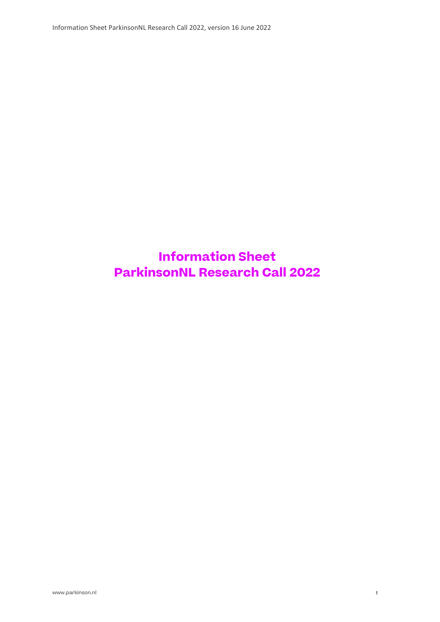# Information Sheet ParkinsonNL Research Call 2022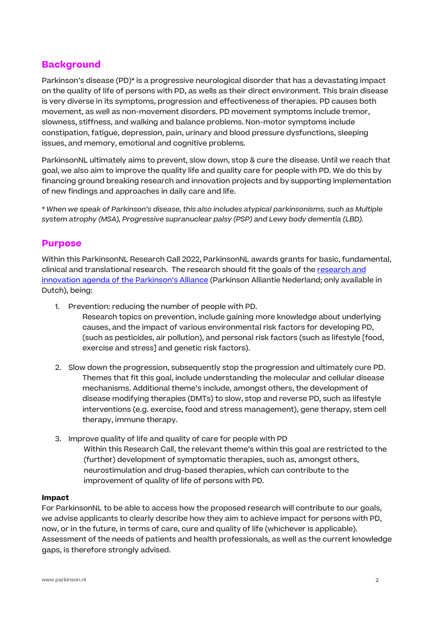## **Background**

Parkinson's disease (PD)\* is a progressive neurological disorder that has a devastating impact on the quality of life of persons with PD, as wells as their direct environment. This brain disease is very diverse in its symptoms, progression and effectiveness of therapies. PD causes both movement, as well as non-movement disorders. PD movement symptoms include tremor, slowness, stiffness, and walking and balance problems. Non-motor symptoms include constipation, fatigue, depression, pain, urinary and blood pressure dysfunctions, sleeping issues, and memory, emotional and cognitive problems.

ParkinsonNL ultimately aims to prevent, slow down, stop & cure the disease. Until we reach that goal, we also aim to improve the quality life and quality care for people with PD. We do this by financing ground breaking research and innovation projects and by supporting implementation of new findings and approaches in daily care and life.

\* When we speak of Parkinson's disease, this also includes atypical parkinsonisms, such as Multiple system atrophy (MSA), Progressive supranuclear palsy (PSP) and Lewy body dementia (LBD).

#### Purpose

Within this ParkinsonNL Research Call 2022, ParkinsonNL awards grants for basic, fundamental, clinical and translational research. The research should fit the goals of the research and innovation agenda of the Parkinson's Alliance (Parkinson Alliantie Nederland; only available in Dutch), being:

1. Prevention: reducing the number of people with PD.

Research topics on prevention, include gaining more knowledge about underlying causes, and the impact of various environmental risk factors for developing PD, (such as pesticides, air pollution), and personal risk factors (such as lifestyle [food, exercise and stress] and genetic risk factors).

- 2. Slow down the progression, subsequently stop the progression and ultimately cure PD. Themes that fit this goal, include understanding the molecular and cellular disease mechanisms. Additional theme's include, amongst others, the development of disease modifying therapies (DMTs) to slow, stop and reverse PD, such as lifestyle interventions (e.g. exercise, food and stress management), gene therapy, stem cell therapy, immune therapy.
- 3. Improve quality of life and quality of care for people with PD Within this Research Call, the relevant theme's within this goal are restricted to the (further) development of symptomatic therapies, such as, amongst others, neurostimulation and drug-based therapies, which can contribute to the improvement of quality of life of persons with PD.

#### Impact

For ParkinsonNL to be able to access how the proposed research will contribute to our goals, we advise applicants to clearly describe how they aim to achieve impact for persons with PD, now, or in the future, in terms of care, cure and quality of life (whichever is applicable). Assessment of the needs of patients and health professionals, as well as the current knowledge gaps, is therefore strongly advised.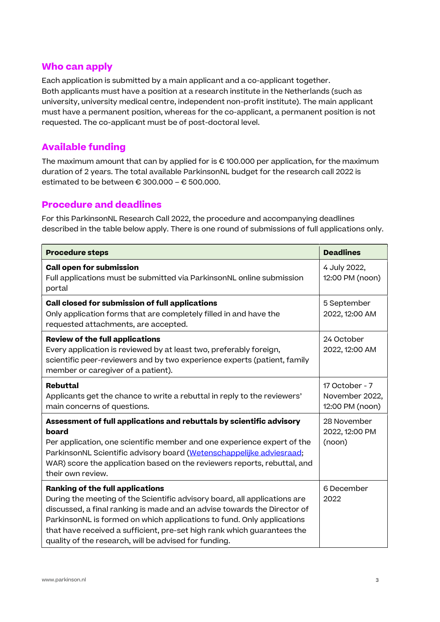## Who can apply

Each application is submitted by a main applicant and a co-applicant together. Both applicants must have a position at a research institute in the Netherlands (such as university, university medical centre, independent non-profit institute). The main applicant must have a permanent position, whereas for the co-applicant, a permanent position is not requested. The co-applicant must be of post-doctoral level.

## Available funding

The maximum amount that can by applied for is  $\epsilon$  100.000 per application, for the maximum duration of 2 years. The total available ParkinsonNL budget for the research call 2022 is estimated to be between  $\epsilon$  300.000 –  $\epsilon$  500.000.

## Procedure and deadlines

For this ParkinsonNL Research Call 2022, the procedure and accompanying deadlines described in the table below apply. There is one round of submissions of full applications only.

| <b>Procedure steps</b>                                                                                                                                                                                                                                                                                                                                                                                  | <b>Deadlines</b>                                    |
|---------------------------------------------------------------------------------------------------------------------------------------------------------------------------------------------------------------------------------------------------------------------------------------------------------------------------------------------------------------------------------------------------------|-----------------------------------------------------|
| <b>Call open for submission</b><br>Full applications must be submitted via ParkinsonNL online submission<br>portal                                                                                                                                                                                                                                                                                      | 4 July 2022,<br>12:00 PM (noon)                     |
| Call closed for submission of full applications<br>Only application forms that are completely filled in and have the<br>requested attachments, are accepted.                                                                                                                                                                                                                                            | 5 September<br>2022, 12:00 AM                       |
| <b>Review of the full applications</b><br>Every application is reviewed by at least two, preferably foreign,<br>scientific peer-reviewers and by two experience experts (patient, family<br>member or caregiver of a patient).                                                                                                                                                                          | 24 October<br>2022, 12:00 AM                        |
| <b>Rebuttal</b><br>Applicants get the chance to write a rebuttal in reply to the reviewers'<br>main concerns of questions.                                                                                                                                                                                                                                                                              | 17 October - 7<br>November 2022,<br>12:00 PM (noon) |
| Assessment of full applications and rebuttals by scientific advisory<br>board<br>Per application, one scientific member and one experience expert of the<br>ParkinsonNL Scientific advisory board (Wetenschappelijke adviesraad;<br>WAR) score the application based on the reviewers reports, rebuttal, and<br>their own review.                                                                       | 28 November<br>2022, 12:00 PM<br>(noon)             |
| Ranking of the full applications<br>During the meeting of the Scientific advisory board, all applications are<br>discussed, a final ranking is made and an advise towards the Director of<br>ParkinsonNL is formed on which applications to fund. Only applications<br>that have received a sufficient, pre-set high rank which guarantees the<br>quality of the research, will be advised for funding. | 6 December<br>2022                                  |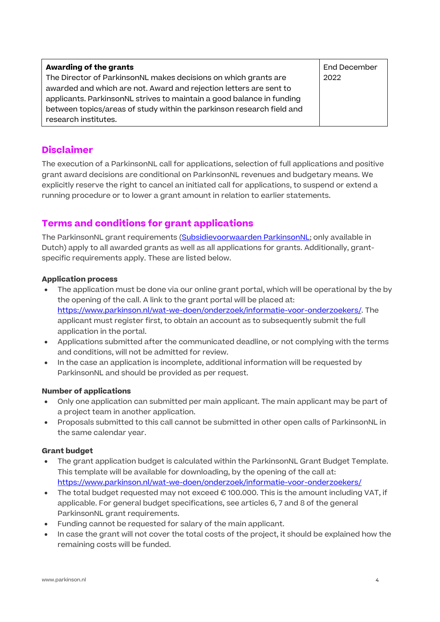| Awarding of the grants                                                | End December |
|-----------------------------------------------------------------------|--------------|
| The Director of ParkinsonNL makes decisions on which grants are       | 2022         |
| awarded and which are not. Award and rejection letters are sent to    |              |
| applicants. ParkinsonNL strives to maintain a good balance in funding |              |
| between topics/areas of study within the parkinson research field and |              |
| research institutes.                                                  |              |

## Disclaimer

The execution of a ParkinsonNL call for applications, selection of full applications and positive grant award decisions are conditional on ParkinsonNL revenues and budgetary means. We explicitly reserve the right to cancel an initiated call for applications, to suspend or extend a running procedure or to lower a grant amount in relation to earlier statements.

# Terms and conditions for grant applications

The ParkinsonNL grant requirements (Subsidievoorwaarden ParkinsonNL; only available in Dutch) apply to all awarded grants as well as all applications for grants. Additionally, grantspecific requirements apply. These are listed below.

### Application process

- The application must be done via our online grant portal, which will be operational by the by the opening of the call. A link to the grant portal will be placed at: https://www.parkinson.nl/wat-we-doen/onderzoek/informatie-voor-onderzoekers/. The applicant must register first, to obtain an account as to subsequently submit the full application in the portal.
- Applications submitted after the communicated deadline, or not complying with the terms and conditions, will not be admitted for review.
- In the case an application is incomplete, additional information will be requested by ParkinsonNL and should be provided as per request.

#### Number of applications

- Only one application can submitted per main applicant. The main applicant may be part of a project team in another application.
- Proposals submitted to this call cannot be submitted in other open calls of ParkinsonNL in the same calendar year.

#### Grant budget

- The grant application budget is calculated within the ParkinsonNL Grant Budget Template. This template will be available for downloading, by the opening of the call at: https://www.parkinson.nl/wat-we-doen/onderzoek/informatie-voor-onderzoekers/
- The total budget requested may not exceed € 100.000. This is the amount including VAT, if applicable. For general budget specifications, see articles 6, 7 and 8 of the general ParkinsonNL grant requirements.
- Funding cannot be requested for salary of the main applicant.
- In case the grant will not cover the total costs of the project, it should be explained how the remaining costs will be funded.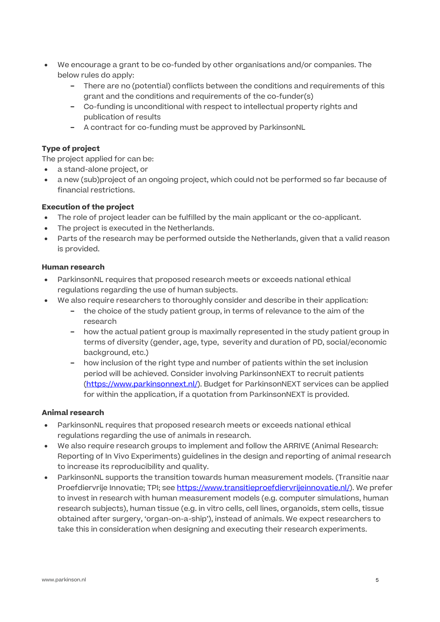- We encourage a grant to be co-funded by other organisations and/or companies. The below rules do apply:
	- − There are no (potential) conflicts between the conditions and requirements of this grant and the conditions and requirements of the co-funder(s)
	- − Co-funding is unconditional with respect to intellectual property rights and publication of results
	- − A contract for co-funding must be approved by ParkinsonNL

#### Type of project

The project applied for can be:

- a stand-alone project, or
- a new (sub)project of an ongoing project, which could not be performed so far because of financial restrictions.

#### Execution of the project

- The role of project leader can be fulfilled by the main applicant or the co-applicant.
- The project is executed in the Netherlands.
- Parts of the research may be performed outside the Netherlands, given that a valid reason is provided.

#### Human research

- ParkinsonNL requires that proposed research meets or exceeds national ethical regulations regarding the use of human subjects.
- We also require researchers to thoroughly consider and describe in their application:
	- − the choice of the study patient group, in terms of relevance to the aim of the research
	- − how the actual patient group is maximally represented in the study patient group in terms of diversity (gender, age, type, severity and duration of PD, social/economic background, etc.)
	- − how inclusion of the right type and number of patients within the set inclusion period will be achieved. Consider involving ParkinsonNEXT to recruit patients (https://www.parkinsonnext.nl/). Budget for ParkinsonNEXT services can be applied for within the application, if a quotation from ParkinsonNEXT is provided.

#### Animal research

- ParkinsonNL requires that proposed research meets or exceeds national ethical regulations regarding the use of animals in research.
- We also require research groups to implement and follow the ARRIVE (Animal Research: Reporting of In Vivo Experiments) guidelines in the design and reporting of animal research to increase its reproducibility and quality.
- ParkinsonNL supports the transition towards human measurement models. (Transitie naar Proefdiervrije Innovatie; TPI; see https://www.transitieproefdiervrijeinnovatie.nl/). We prefer to invest in research with human measurement models (e.g. computer simulations, human research subjects), human tissue (e.g. in vitro cells, cell lines, organoids, stem cells, tissue obtained after surgery, 'organ-on-a-ship'), instead of animals. We expect researchers to take this in consideration when designing and executing their research experiments.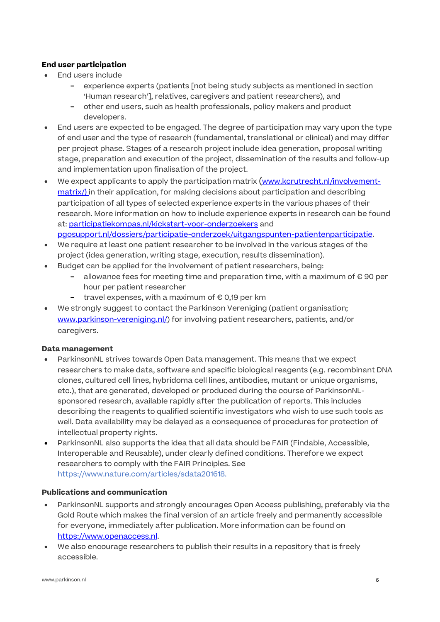#### End user participation

- End users include
	- − experience experts (patients [not being study subjects as mentioned in section 'Human research'], relatives, caregivers and patient researchers), and
	- − other end users, such as health professionals, policy makers and product developers.
- End users are expected to be engaged. The degree of participation may vary upon the type of end user and the type of research (fundamental, translational or clinical) and may differ per project phase. Stages of a research project include idea generation, proposal writing stage, preparation and execution of the project, dissemination of the results and follow-up and implementation upon finalisation of the project.
- We expect applicants to apply the participation matrix (www.kcrutrecht.nl/involvementmatrix/) in their application, for making decisions about participation and describing participation of all types of selected experience experts in the various phases of their research. More information on how to include experience experts in research can be found at: participatiekompas.nl/kickstart-voor-onderzoekers and pgosupport.nl/dossiers/participatie-onderzoek/uitgangspunten-patientenparticipatie.
- We require at least one patient researcher to be involved in the various stages of the project (idea generation, writing stage, execution, results dissemination).
- Budget can be applied for the involvement of patient researchers, being:
	- − allowance fees for meeting time and preparation time, with a maximum of € 90 per hour per patient researcher
	- − travel expenses, with a maximum of € 0,19 per km
- We strongly suggest to contact the Parkinson Vereniging (patient organisation; www.parkinson-vereniging.nl/) for involving patient researchers, patients, and/or caregivers.

#### Data management

- ParkinsonNL strives towards Open Data management. This means that we expect researchers to make data, software and specific biological reagents (e.g. recombinant DNA clones, cultured cell lines, hybridoma cell lines, antibodies, mutant or unique organisms, etc.), that are generated, developed or produced during the course of ParkinsonNLsponsored research, available rapidly after the publication of reports. This includes describing the reagents to qualified scientific investigators who wish to use such tools as well. Data availability may be delayed as a consequence of procedures for protection of intellectual property rights.
- ParkinsonNL also supports the idea that all data should be FAIR (Findable, Accessible, Interoperable and Reusable), under clearly defined conditions. Therefore we expect researchers to comply with the FAIR Principles. See https://www.nature.com/articles/sdata201618.

#### Publications and communication

- ParkinsonNL supports and strongly encourages Open Access publishing, preferably via the Gold Route which makes the final version of an article freely and permanently accessible for everyone, immediately after publication. More information can be found on https://www.openaccess.nl.
- We also encourage researchers to publish their results in a repository that is freely accessible.